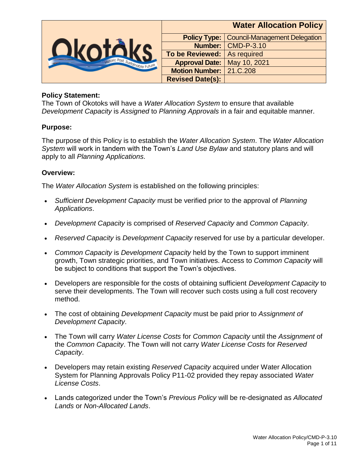

#### **Policy Statement:**

The Town of Okotoks will have a *Water Allocation System* to ensure that available *Development Capacity* is *Assigned* to *Planning Approvals* in a fair and equitable manner.

#### **Purpose:**

The purpose of this Policy is to establish the *Water Allocation System*. The *Water Allocation System* will work in tandem with the Town's *Land Use Bylaw* and statutory plans and will apply to all *Planning Applications*.

#### **Overview:**

The *Water Allocation System* is established on the following principles:

- *Sufficient Development Capacity* must be verified prior to the approval of *Planning Applications*.
- *Development Capacity* is comprised of *Reserved Capacity* and *Common Capacity*.
- *Reserved Capacity* is *Development Capacity* reserved for use by a particular developer.
- *Common Capacity* is *Development Capacity* held by the Town to support imminent growth, Town strategic priorities, and Town initiatives. Access to *Common Capacity* will be subject to conditions that support the Town's objectives.
- Developers are responsible for the costs of obtaining sufficient *Development Capacity* to serve their developments. The Town will recover such costs using a full cost recovery method.
- The cost of obtaining *Development Capacity* must be paid prior to *Assignment of Development Capacity*.
- The Town will carry *Water License Costs* for *Common Capacity* until the *Assignment* of the *Common Capacity*. The Town will not carry *Water License Costs* for *Reserved Capacity*.
- Developers may retain existing *Reserved Capacity* acquired under Water Allocation System for Planning Approvals Policy P11-02 provided they repay associated *Water License Costs*.
- Lands categorized under the Town's *Previous Policy* will be re-designated as *Allocated Lands* or *Non-Allocated Lands*.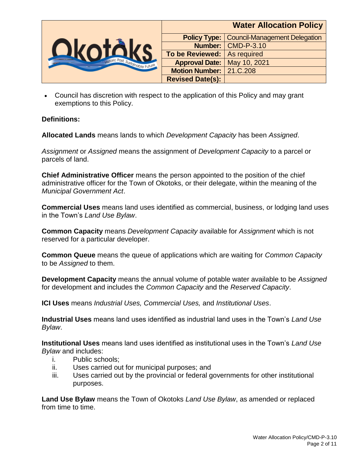

|                         | <b>Water Allocation Policy</b>       |
|-------------------------|--------------------------------------|
| <b>Policy Type:</b>     | <b>Council-Management Delegation</b> |
|                         | Number: CMD-P-3.10                   |
| <b>To be Reviewed:</b>  | As required                          |
| <b>Approval Date:</b>   | May 10, 2021                         |
| <b>Motion Number:</b>   | 21.C.208                             |
| <b>Revised Date(s):</b> |                                      |

 Council has discretion with respect to the application of this Policy and may grant exemptions to this Policy.

# **Definitions:**

**Allocated Lands** means lands to which *Development Capacity* has been *Assigned*.

*Assignment* or *Assigned* means the assignment of *Development Capacity* to a parcel or parcels of land.

**Chief Administrative Officer** means the person appointed to the position of the chief administrative officer for the Town of Okotoks, or their delegate, within the meaning of the *Municipal Government Act*.

**Commercial Uses** means land uses identified as commercial, business, or lodging land uses in the Town's *Land Use Bylaw*.

**Common Capacity** means *Development Capacity* available for *Assignment* which is not reserved for a particular developer.

**Common Queue** means the queue of applications which are waiting for *Common Capacity* to be *Assigned* to them.

**Development Capacity** means the annual volume of potable water available to be *Assigned* for development and includes the *Common Capacity* and the *Reserved Capacity*.

**ICI Uses** means *Industrial Uses, Commercial Uses,* and *Institutional Uses*.

**Industrial Uses** means land uses identified as industrial land uses in the Town's *Land Use Bylaw*.

**Institutional Uses** means land uses identified as institutional uses in the Town's *Land Use Bylaw* and includes:

- i. Public schools;
- ii. Uses carried out for municipal purposes; and
- iii. Uses carried out by the provincial or federal governments for other institutional purposes.

**Land Use Bylaw** means the Town of Okotoks *Land Use Bylaw*, as amended or replaced from time to time.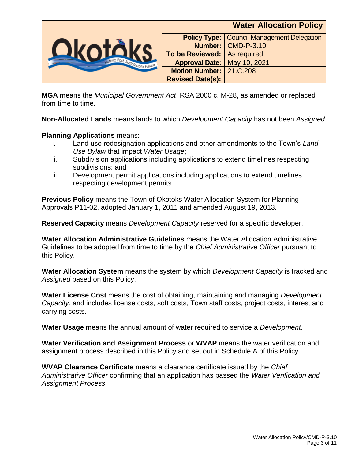

**MGA** means the *Municipal Government Act*, RSA 2000 c. M-28, as amended or replaced from time to time.

**Non-Allocated Lands** means lands to which *Development Capacity* has not been *Assigned*.

#### **Planning Applications** means:

- i. Land use redesignation applications and other amendments to the Town's *Land Use Bylaw* that impact *Water Usage*;
- ii. Subdivision applications including applications to extend timelines respecting subdivisions; and
- iii. Development permit applications including applications to extend timelines respecting development permits.

**Previous Policy** means the Town of Okotoks Water Allocation System for Planning Approvals P11-02, adopted January 1, 2011 and amended August 19, 2013.

**Reserved Capacity** means *Development Capacity* reserved for a specific developer.

**Water Allocation Administrative Guidelines** means the Water Allocation Administrative Guidelines to be adopted from time to time by the *Chief Administrative Officer* pursuant to this Policy.

**Water Allocation System** means the system by which *Development Capacity* is tracked and *Assigned* based on this Policy.

**Water License Cost** means the cost of obtaining, maintaining and managing *Development Capacity*, and includes license costs, soft costs, Town staff costs, project costs, interest and carrying costs.

**Water Usage** means the annual amount of water required to service a *Development*.

**Water Verification and Assignment Process** or **WVAP** means the water verification and assignment process described in this Policy and set out in Schedule A of this Policy.

**WVAP Clearance Certificate** means a clearance certificate issued by the *Chief Administrative Officer* confirming that an application has passed the *Water Verification and Assignment Process*.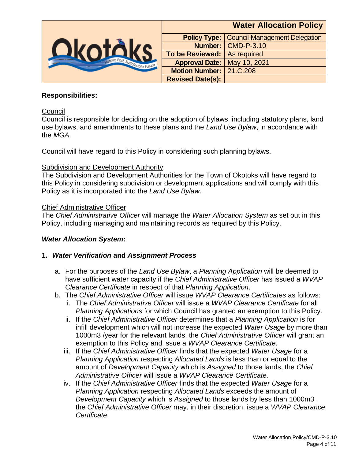

|                         | <b>Water Allocation Policy</b>       |
|-------------------------|--------------------------------------|
| <b>Policy Type:</b>     | <b>Council-Management Delegation</b> |
|                         | Number: CMD-P-3.10                   |
| <b>To be Reviewed:</b>  | As required                          |
| <b>Approval Date:</b>   | May 10, 2021                         |
| <b>Motion Number:</b>   | 21.C.208                             |
| <b>Revised Date(s):</b> |                                      |

# **Responsibilities:**

### **Council**

Council is responsible for deciding on the adoption of bylaws, including statutory plans, land use bylaws, and amendments to these plans and the *Land Use Bylaw*, in accordance with the *MGA*.

Council will have regard to this Policy in considering such planning bylaws.

### **Subdivision and Development Authority**

The Subdivision and Development Authorities for the Town of Okotoks will have regard to this Policy in considering subdivision or development applications and will comply with this Policy as it is incorporated into the *Land Use Bylaw*.

# Chief Administrative Officer

The *Chief Administrative Officer* will manage the *Water Allocation System* as set out in this Policy, including managing and maintaining records as required by this Policy.

#### *Water Allocation System***:**

# **1.** *Water Verification* **and** *Assignment Process*

- a. For the purposes of the *Land Use Bylaw*, a *Planning Application* will be deemed to have sufficient water capacity if the *Chief Administrative Officer* has issued a *WVAP Clearance Certificate* in respect of that *Planning Application*.
- b. The *Chief Administrative Officer* will issue *WVAP Clearance Certificates* as follows:
	- i. The *Chief Administrative Officer* will issue a *WVAP Clearance Certificate* for all *Planning Applications* for which Council has granted an exemption to this Policy.
	- ii. If the *Chief Administrative Officer* determines that a *Planning Application* is for infill development which will not increase the expected *Water Usage* by more than 1000m3 /year for the relevant lands, the *Chief Administrative Officer* will grant an exemption to this Policy and issue a *WVAP Clearance Certificate*.
	- iii. If the *Chief Administrative Officer* finds that the expected *Water Usage* for a *Planning Application* respecting *Allocated Lands* is less than or equal to the amount of *Development Capacity* which is *Assigned* to those lands, the *Chief Administrative Officer* will issue a *WVAP Clearance Certificate*.
	- iv. If the *Chief Administrative Officer* finds that the expected *Water Usage* for a *Planning Application* respecting *Allocated Lands* exceeds the amount of *Development Capacity* which is *Assigned* to those lands by less than 1000m3 , the *Chief Administrative Officer* may, in their discretion, issue a *WVAP Clearance Certificate*.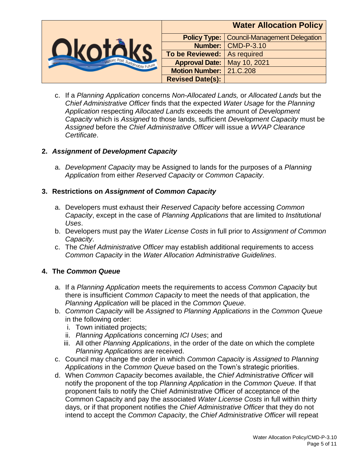

c. If a *Planning Application* concerns *Non-Allocated Lands,* or *Allocated Lands* but the *Chief Administrative Officer* finds that the expected *Water Usage* for the *Planning Application* respecting *Allocated Lands* exceeds the amount of *Development Capacity* which is *Assigned* to those lands, sufficient *Development Capacity* must be *Assigned* before the *Chief Administrative Officer* will issue a *WVAP Clearance Certificate*.

# **2.** *Assignment* **of** *Development Capacity*

a. *Development Capacity* may be Assigned to lands for the purposes of a *Planning Application* from either *Reserved Capacity* or *Common Capacity*.

# **3. Restrictions on** *Assignment* **of** *Common Capacity*

- a. Developers must exhaust their *Reserved Capacity* before accessing *Common Capacity*, except in the case of *Planning Applications* that are limited to *Institutional Uses*.
- b. Developers must pay the *Water License Costs* in full prior to *Assignment of Common Capacity*.
- c. The *Chief Administrative Officer* may establish additional requirements to access *Common Capacity* in the *Water Allocation Administrative Guidelines*.

#### **4. The** *Common Queue*

- a. If a *Planning Application* meets the requirements to access *Common Capacity* but there is insufficient *Common Capacity* to meet the needs of that application, the *Planning Application* will be placed in the *Common Queue*.
- b. *Common Capacity* will be *Assigned* to *Planning Applications* in the *Common Queue* in the following order:
	- i. Town initiated projects;
	- ii. *Planning Applications* concerning *ICI Uses*; and
	- iii. All other *Planning Applications*, in the order of the date on which the complete *Planning Applications* are received.
- c. Council may change the order in which *Common Capacity* is *Assigned* to *Planning Applications* in the *Common Queue* based on the Town's strategic priorities.
- d. When *Common Capacity* becomes available, the *Chief Administrative Officer* will notify the proponent of the top *Planning Application* in the *Common Queue*. If that proponent fails to notify the Chief Administrative Officer of acceptance of the Common Capacity and pay the associated *Water License Costs* in full within thirty days, or if that proponent notifies the *Chief Administrative Officer* that they do not intend to accept the *Common Capacity*, the *Chief Administrative Officer* will repeat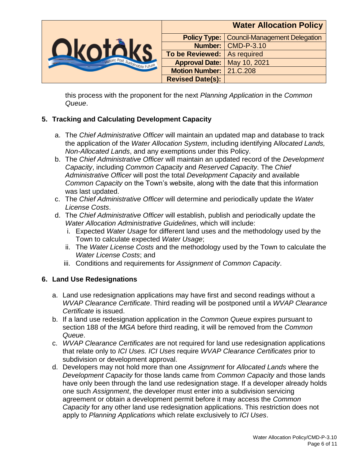

this process with the proponent for the next *Planning Application* in the *Common Queue*.

# **5. Tracking and Calculating Development Capacity**

- a. The *Chief Administrative Officer* will maintain an updated map and database to track the application of the *Water Allocation System*, including identifying A*llocated Lands, Non-Allocated Lands*, and any exemptions under this Policy.
- b. The *Chief Administrative Officer* will maintain an updated record of the *Development Capacity*, including *Common Capacity* and *Reserved Capacity*. The *Chief Administrative Officer* will post the total *Development Capacity* and available *Common Capacity* on the Town's website, along with the date that this information was last updated.
- c. The *Chief Administrative Officer* will determine and periodically update the *Water License Costs*.
- d. The *Chief Administrative Officer* will establish, publish and periodically update the *Water Allocation Administrative Guidelines*, which will include:
	- i. Expected *Water Usage* for different land uses and the methodology used by the Town to calculate expected *Water Usage*;
	- ii. The *Water License Costs* and the methodology used by the Town to calculate the *Water License Costs*; and
	- iii. Conditions and requirements for *Assignment* of *Common Capacity*.

# **6. Land Use Redesignations**

- a. Land use redesignation applications may have first and second readings without a *WVAP Clearance Certificate*. Third reading will be postponed until a *WVAP Clearance Certificate* is issued.
- b. If a land use redesignation application in the *Common Queue* expires pursuant to section 188 of the *MGA* before third reading, it will be removed from the *Common Queue*.
- c. *WVAP Clearance Certificates* are not required for land use redesignation applications that relate only to *ICI Uses. ICI Uses* require *WVAP Clearance Certificates* prior to subdivision or development approval.
- d. Developers may not hold more than one *Assignment* for *Allocated Lands* where the *Development Capacity* for those lands came from *Common Capacity* and those lands have only been through the land use redesignation stage. If a developer already holds one such *Assignment*, the developer must enter into a subdivision servicing agreement or obtain a development permit before it may access the *Common Capacity* for any other land use redesignation applications. This restriction does not apply to *Planning Applications* which relate exclusively to *ICI Uses*.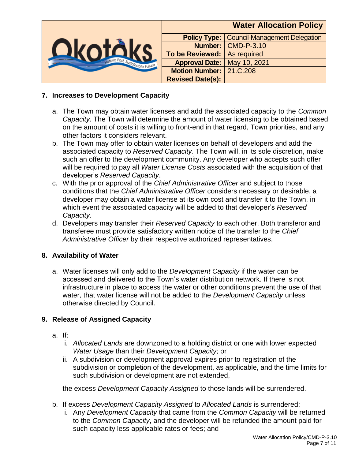

# **7. Increases to Development Capacity**

- a. The Town may obtain water licenses and add the associated capacity to the *Common Capacity*. The Town will determine the amount of water licensing to be obtained based on the amount of costs it is willing to front-end in that regard, Town priorities, and any other factors it considers relevant.
- b. The Town may offer to obtain water licenses on behalf of developers and add the associated capacity to *Reserved Capacity*. The Town will, in its sole discretion, make such an offer to the development community. Any developer who accepts such offer will be required to pay all *Water License Costs* associated with the acquisition of that developer's *Reserved Capacity*.
- c. With the prior approval of the *Chief Administrative Officer* and subject to those conditions that the *Chief Administrative Officer* considers necessary or desirable, a developer may obtain a water license at its own cost and transfer it to the Town, in which event the associated capacity will be added to that developer's *Reserved Capacity*.
- d. Developers may transfer their *Reserved Capacity* to each other. Both transferor and transferee must provide satisfactory written notice of the transfer to the *Chief Administrative Officer* by their respective authorized representatives.

#### **8. Availability of Water**

a. Water licenses will only add to the *Development Capacity* if the water can be accessed and delivered to the Town's water distribution network. If there is not infrastructure in place to access the water or other conditions prevent the use of that water, that water license will not be added to the *Development Capacity* unless otherwise directed by Council.

#### **9. Release of Assigned Capacity**

- a. If:
	- i. *Allocated Lands* are downzoned to a holding district or one with lower expected *Water Usage* than their *Development Capacity*; or
	- ii. A subdivision or development approval expires prior to registration of the subdivision or completion of the development, as applicable, and the time limits for such subdivision or development are not extended,

the excess *Development Capacity Assigned* to those lands will be surrendered.

- b. If excess *Development Capacity Assigned* to *Allocated Lands* is surrendered:
	- i. Any *Development Capacity* that came from the *Common Capacity* will be returned to the *Common Capacity*, and the developer will be refunded the amount paid for such capacity less applicable rates or fees; and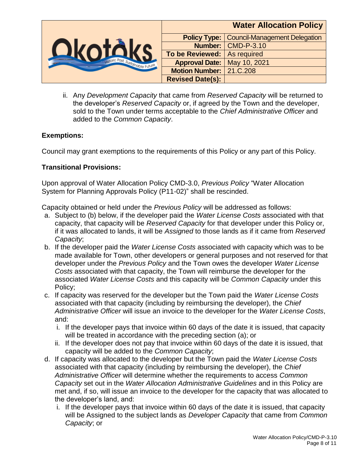

ii. Any *Development Capacity* that came from *Reserved Capacity* will be returned to the developer's *Reserved Capacity* or, if agreed by the Town and the developer, sold to the Town under terms acceptable to the *Chief Administrative Officer* and added to the *Common Capacity*.

# **Exemptions:**

Council may grant exemptions to the requirements of this Policy or any part of this Policy.

# **Transitional Provisions:**

Upon approval of Water Allocation Policy CMD-3.0, *Previous Policy* "Water Allocation System for Planning Approvals Policy (P11-02)" shall be rescinded.

Capacity obtained or held under the *Previous Policy* will be addressed as follows:

- a. Subject to (b) below, if the developer paid the *Water License Costs* associated with that capacity, that capacity will be *Reserved Capacity* for that developer under this Policy or, if it was allocated to lands, it will be *Assigned* to those lands as if it came from *Reserved Capacity*;
- b. If the developer paid the *Water License Costs* associated with capacity which was to be made available for Town, other developers or general purposes and not reserved for that developer under the *Previous Policy* and the Town owes the developer *Water License Costs* associated with that capacity, the Town will reimburse the developer for the associated *Water License Costs* and this capacity will be *Common Capacity* under this Policy;
- c. If capacity was reserved for the developer but the Town paid the *Water License Costs* associated with that capacity (including by reimbursing the developer), the *Chief Administrative Officer* will issue an invoice to the developer for the *Water License Costs*, and:
	- i. If the developer pays that invoice within 60 days of the date it is issued, that capacity will be treated in accordance with the preceding section (a); or
	- ii. If the developer does not pay that invoice within 60 days of the date it is issued, that capacity will be added to the *Common Capacity*;
- d. If capacity was allocated to the developer but the Town paid the *Water License Costs* associated with that capacity (including by reimbursing the developer), the *Chief Administrative Officer* will determine whether the requirements to access *Common Capacity* set out in the *Water Allocation Administrative Guidelines* and in this Policy are met and, if so, will issue an invoice to the developer for the capacity that was allocated to the developer's land, and:
	- i. If the developer pays that invoice within 60 days of the date it is issued, that capacity will be Assigned to the subject lands as *Developer Capacity* that came from *Common Capacity*; or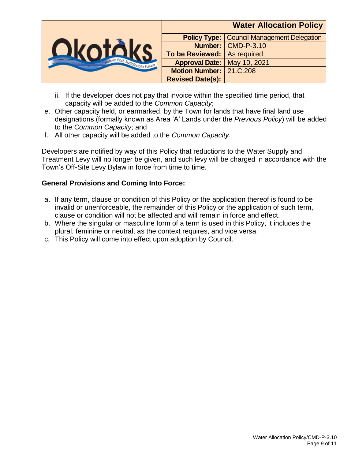

- ii. If the developer does not pay that invoice within the specified time period, that capacity will be added to the *Common Capacity*;
- e. Other capacity held, or earmarked, by the Town for lands that have final land use designations (formally known as Area 'A' Lands under the *Previous Policy*) will be added to the *Common Capacity*; and
- f. All other capacity will be added to the *Common Capacity*.

Developers are notified by way of this Policy that reductions to the Water Supply and Treatment Levy will no longer be given, and such levy will be charged in accordance with the Town's Off-Site Levy Bylaw in force from time to time.

# **General Provisions and Coming Into Force:**

- a. If any term, clause or condition of this Policy or the application thereof is found to be invalid or unenforceable, the remainder of this Policy or the application of such term, clause or condition will not be affected and will remain in force and effect.
- b. Where the singular or masculine form of a term is used in this Policy, it includes the plural, feminine or neutral, as the context requires, and vice versa.
- c. This Policy will come into effect upon adoption by Council.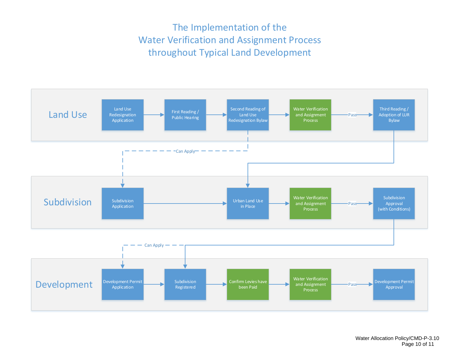# The Implementation of the Water Verification and Assignment Process throughout Typical Land Development